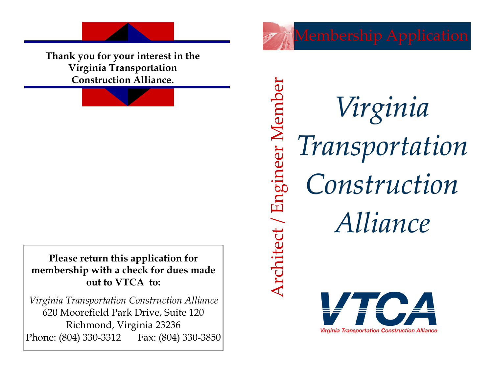**Thank you for your interest in the Virginia Transportation Construction Alliance.**

**Please return this application for membership with a check for dues made out to VTCA to:** 

*Virginia Transportation Construction Alliance*  620 Moorefield Park Drive, Suite 120 Richmond, Virginia 23236 Phone: (804) 330-3312 Fax: (804) 330-3850 Membership Application

Architect / Engineer Member Architect / Engineer Member *Virginia Transportation Construction Alliance*